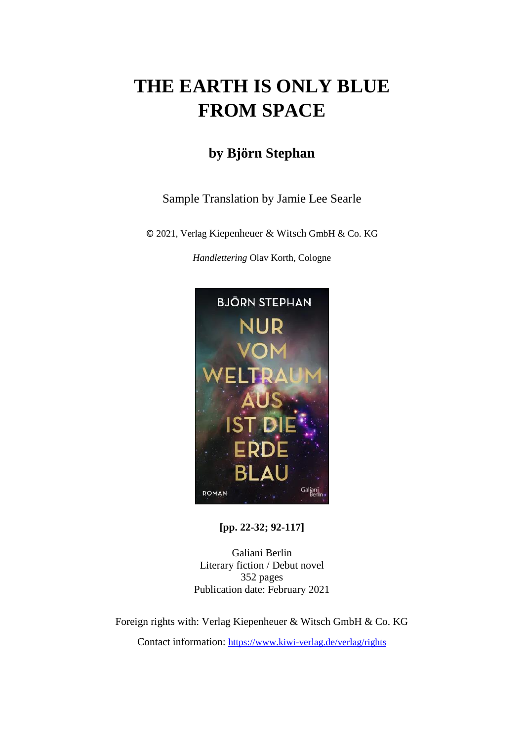# **THE EARTH IS ONLY BLUE FROM SPACE**

# **by Björn Stephan**

### Sample Translation by Jamie Lee Searle

© 2021, Verlag Kiepenheuer & Witsch GmbH & Co. KG

*Handlettering* Olav Korth, Cologne



**[pp. 22-32; 92-117]**

Galiani Berlin Literary fiction / Debut novel 352 pages Publication date: February 2021

Foreign rights with: Verlag Kiepenheuer & Witsch GmbH & Co. KG

Contact information: <https://www.kiwi-verlag.de/verlag/rights>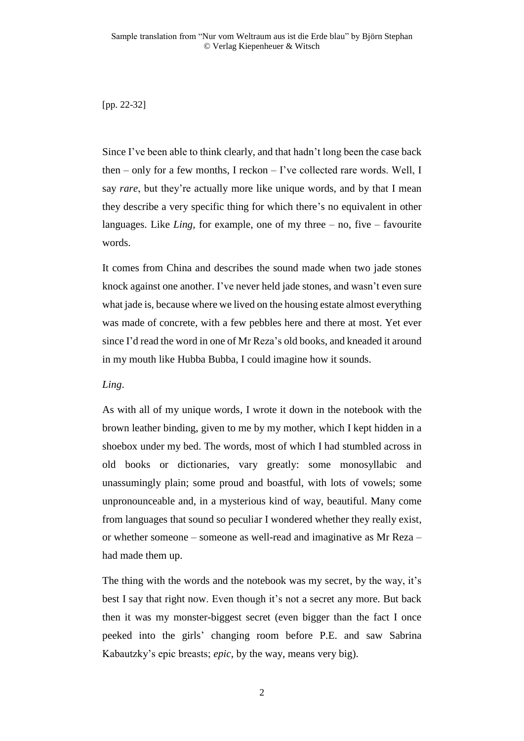[pp. 22-32]

Since I've been able to think clearly, and that hadn't long been the case back then – only for a few months, I reckon – I've collected rare words. Well, I say *rare*, but they're actually more like unique words, and by that I mean they describe a very specific thing for which there's no equivalent in other languages. Like *Ling,* for example, one of my three – no, five – favourite words.

It comes from China and describes the sound made when two jade stones knock against one another. I've never held jade stones, and wasn't even sure what jade is, because where we lived on the housing estate almost everything was made of concrete, with a few pebbles here and there at most. Yet ever since I'd read the word in one of Mr Reza's old books, and kneaded it around in my mouth like Hubba Bubba, I could imagine how it sounds.

*Ling*.

As with all of my unique words, I wrote it down in the notebook with the brown leather binding, given to me by my mother, which I kept hidden in a shoebox under my bed. The words, most of which I had stumbled across in old books or dictionaries, vary greatly: some monosyllabic and unassumingly plain; some proud and boastful, with lots of vowels; some unpronounceable and, in a mysterious kind of way, beautiful. Many come from languages that sound so peculiar I wondered whether they really exist, or whether someone – someone as well-read and imaginative as Mr Reza – had made them up.

The thing with the words and the notebook was my secret, by the way, it's best I say that right now. Even though it's not a secret any more. But back then it was my monster-biggest secret (even bigger than the fact I once peeked into the girls' changing room before P.E. and saw Sabrina Kabautzky's epic breasts; *epic*, by the way, means very big).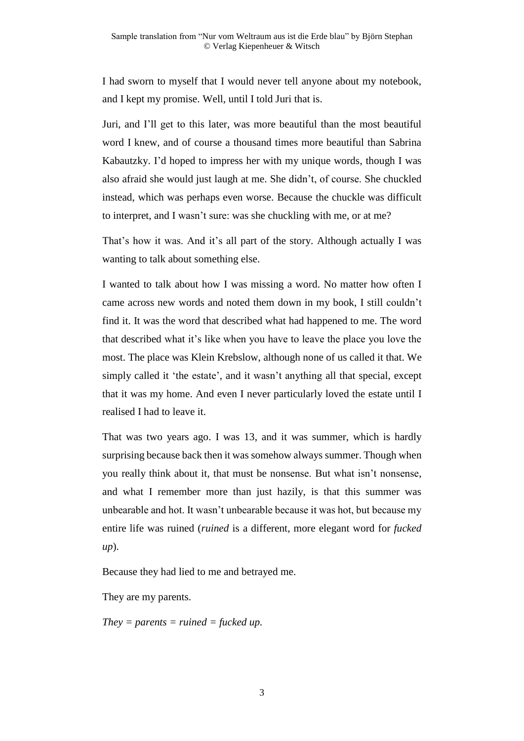I had sworn to myself that I would never tell anyone about my notebook, and I kept my promise. Well, until I told Juri that is.

Juri, and I'll get to this later, was more beautiful than the most beautiful word I knew, and of course a thousand times more beautiful than Sabrina Kabautzky. I'd hoped to impress her with my unique words, though I was also afraid she would just laugh at me. She didn't, of course. She chuckled instead, which was perhaps even worse. Because the chuckle was difficult to interpret, and I wasn't sure: was she chuckling with me, or at me?

That's how it was. And it's all part of the story. Although actually I was wanting to talk about something else.

I wanted to talk about how I was missing a word. No matter how often I came across new words and noted them down in my book, I still couldn't find it. It was the word that described what had happened to me. The word that described what it's like when you have to leave the place you love the most. The place was Klein Krebslow, although none of us called it that. We simply called it 'the estate', and it wasn't anything all that special, except that it was my home. And even I never particularly loved the estate until I realised I had to leave it.

That was two years ago. I was 13, and it was summer, which is hardly surprising because back then it was somehow always summer. Though when you really think about it, that must be nonsense. But what isn't nonsense, and what I remember more than just hazily, is that this summer was unbearable and hot. It wasn't unbearable because it was hot, but because my entire life was ruined (*ruined* is a different, more elegant word for *fucked up*).

Because they had lied to me and betrayed me.

They are my parents.

*They = parents = ruined = fucked up.*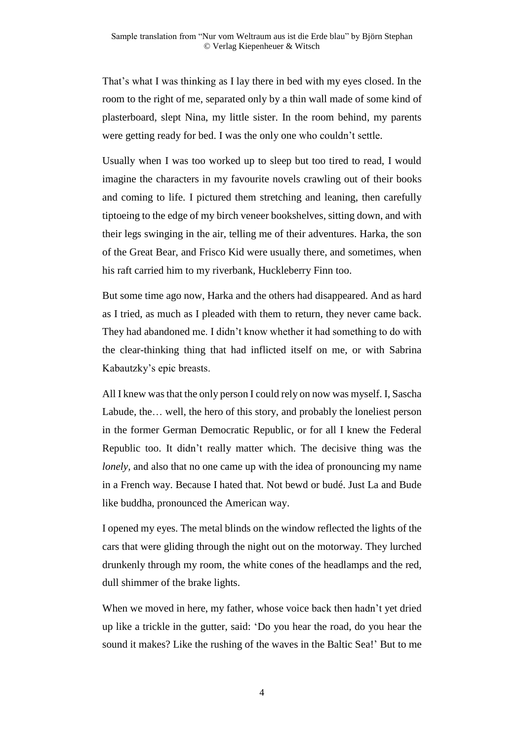That's what I was thinking as I lay there in bed with my eyes closed. In the room to the right of me, separated only by a thin wall made of some kind of plasterboard, slept Nina, my little sister. In the room behind, my parents were getting ready for bed. I was the only one who couldn't settle.

Usually when I was too worked up to sleep but too tired to read, I would imagine the characters in my favourite novels crawling out of their books and coming to life. I pictured them stretching and leaning, then carefully tiptoeing to the edge of my birch veneer bookshelves, sitting down, and with their legs swinging in the air, telling me of their adventures. Harka, the son of the Great Bear, and Frisco Kid were usually there, and sometimes, when his raft carried him to my riverbank, Huckleberry Finn too.

But some time ago now, Harka and the others had disappeared. And as hard as I tried, as much as I pleaded with them to return, they never came back. They had abandoned me. I didn't know whether it had something to do with the clear-thinking thing that had inflicted itself on me, or with Sabrina Kabautzky's epic breasts.

All I knew was that the only person I could rely on now was myself. I, Sascha Labude, the… well, the hero of this story, and probably the loneliest person in the former German Democratic Republic, or for all I knew the Federal Republic too. It didn't really matter which. The decisive thing was the *lonely*, and also that no one came up with the idea of pronouncing my name in a French way. Because I hated that. Not bewd or budé. Just La and Bude like buddha, pronounced the American way.

I opened my eyes. The metal blinds on the window reflected the lights of the cars that were gliding through the night out on the motorway. They lurched drunkenly through my room, the white cones of the headlamps and the red, dull shimmer of the brake lights.

When we moved in here, my father, whose voice back then hadn't yet dried up like a trickle in the gutter, said: 'Do you hear the road, do you hear the sound it makes? Like the rushing of the waves in the Baltic Sea!' But to me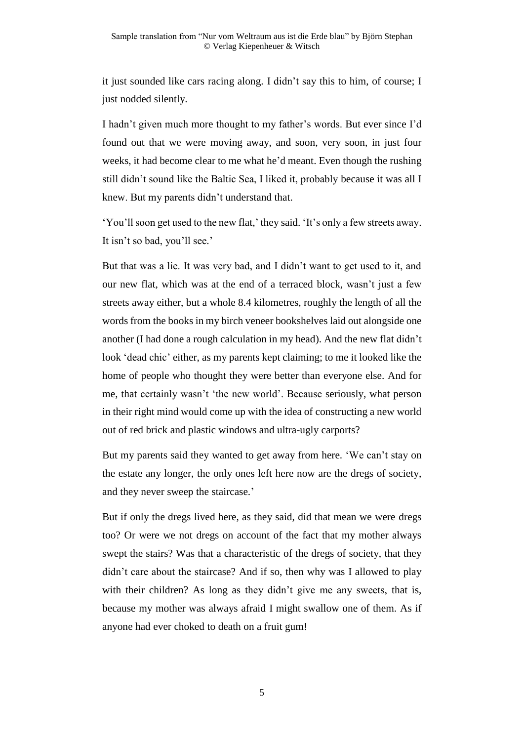it just sounded like cars racing along. I didn't say this to him, of course; I just nodded silently.

I hadn't given much more thought to my father's words. But ever since I'd found out that we were moving away, and soon, very soon, in just four weeks, it had become clear to me what he'd meant. Even though the rushing still didn't sound like the Baltic Sea, I liked it, probably because it was all I knew. But my parents didn't understand that.

'You'll soon get used to the new flat,' they said. 'It's only a few streets away. It isn't so bad, you'll see.'

But that was a lie. It was very bad, and I didn't want to get used to it, and our new flat, which was at the end of a terraced block, wasn't just a few streets away either, but a whole 8.4 kilometres, roughly the length of all the words from the books in my birch veneer bookshelves laid out alongside one another (I had done a rough calculation in my head). And the new flat didn't look 'dead chic' either, as my parents kept claiming; to me it looked like the home of people who thought they were better than everyone else. And for me, that certainly wasn't 'the new world'. Because seriously, what person in their right mind would come up with the idea of constructing a new world out of red brick and plastic windows and ultra-ugly carports?

But my parents said they wanted to get away from here. 'We can't stay on the estate any longer, the only ones left here now are the dregs of society, and they never sweep the staircase.'

But if only the dregs lived here, as they said, did that mean we were dregs too? Or were we not dregs on account of the fact that my mother always swept the stairs? Was that a characteristic of the dregs of society, that they didn't care about the staircase? And if so, then why was I allowed to play with their children? As long as they didn't give me any sweets, that is, because my mother was always afraid I might swallow one of them. As if anyone had ever choked to death on a fruit gum!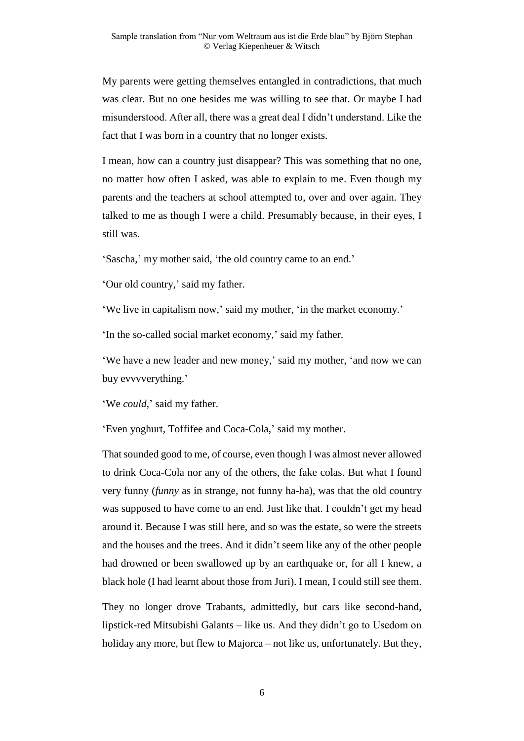My parents were getting themselves entangled in contradictions, that much was clear. But no one besides me was willing to see that. Or maybe I had misunderstood. After all, there was a great deal I didn't understand. Like the fact that I was born in a country that no longer exists.

I mean, how can a country just disappear? This was something that no one, no matter how often I asked, was able to explain to me. Even though my parents and the teachers at school attempted to, over and over again. They talked to me as though I were a child. Presumably because, in their eyes, I still was.

'Sascha,' my mother said, 'the old country came to an end.'

'Our old country,' said my father.

'We live in capitalism now,' said my mother, 'in the market economy.'

'In the so-called social market economy,' said my father.

'We have a new leader and new money,' said my mother, 'and now we can buy evvvverything.'

'We *could*,' said my father.

'Even yoghurt, Toffifee and Coca-Cola,' said my mother.

That sounded good to me, of course, even though I was almost never allowed to drink Coca-Cola nor any of the others, the fake colas. But what I found very funny (*funny* as in strange, not funny ha-ha), was that the old country was supposed to have come to an end. Just like that. I couldn't get my head around it. Because I was still here, and so was the estate, so were the streets and the houses and the trees. And it didn't seem like any of the other people had drowned or been swallowed up by an earthquake or, for all I knew, a black hole (I had learnt about those from Juri). I mean, I could still see them.

They no longer drove Trabants, admittedly, but cars like second-hand, lipstick-red Mitsubishi Galants – like us. And they didn't go to Usedom on holiday any more, but flew to Majorca – not like us, unfortunately. But they,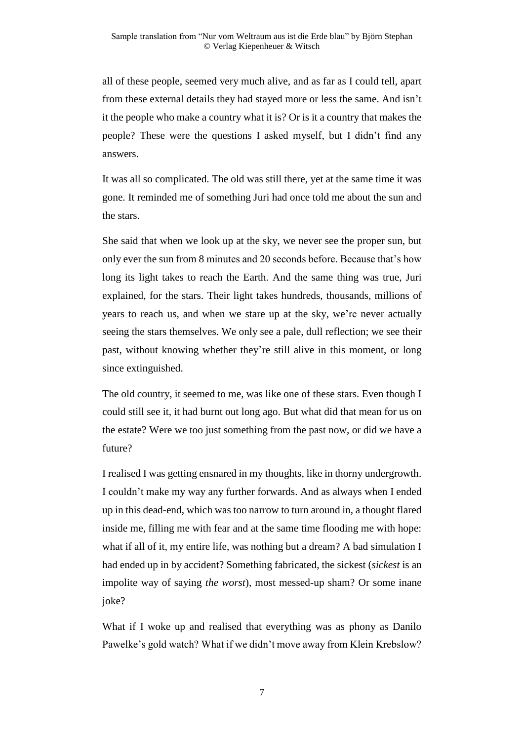all of these people, seemed very much alive, and as far as I could tell, apart from these external details they had stayed more or less the same. And isn't it the people who make a country what it is? Or is it a country that makes the people? These were the questions I asked myself, but I didn't find any answers.

It was all so complicated. The old was still there, yet at the same time it was gone. It reminded me of something Juri had once told me about the sun and the stars.

She said that when we look up at the sky, we never see the proper sun, but only ever the sun from 8 minutes and 20 seconds before. Because that's how long its light takes to reach the Earth. And the same thing was true, Juri explained, for the stars. Their light takes hundreds, thousands, millions of years to reach us, and when we stare up at the sky, we're never actually seeing the stars themselves. We only see a pale, dull reflection; we see their past, without knowing whether they're still alive in this moment, or long since extinguished.

The old country, it seemed to me, was like one of these stars. Even though I could still see it, it had burnt out long ago. But what did that mean for us on the estate? Were we too just something from the past now, or did we have a future?

I realised I was getting ensnared in my thoughts, like in thorny undergrowth. I couldn't make my way any further forwards. And as always when I ended up in this dead-end, which was too narrow to turn around in, a thought flared inside me, filling me with fear and at the same time flooding me with hope: what if all of it, my entire life, was nothing but a dream? A bad simulation I had ended up in by accident? Something fabricated, the sickest (*sickest* is an impolite way of saying *the worst*), most messed-up sham? Or some inane joke?

What if I woke up and realised that everything was as phony as Danilo Pawelke's gold watch? What if we didn't move away from Klein Krebslow?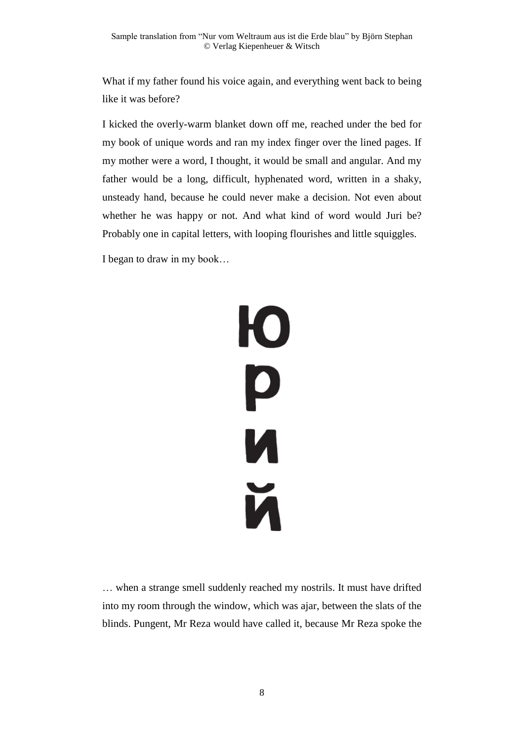What if my father found his voice again, and everything went back to being like it was before?

I kicked the overly-warm blanket down off me, reached under the bed for my book of unique words and ran my index finger over the lined pages. If my mother were a word, I thought, it would be small and angular. And my father would be a long, difficult, hyphenated word, written in a shaky, unsteady hand, because he could never make a decision. Not even about whether he was happy or not. And what kind of word would Juri be? Probably one in capital letters, with looping flourishes and little squiggles.

I began to draw in my book…



… when a strange smell suddenly reached my nostrils. It must have drifted into my room through the window, which was ajar, between the slats of the blinds. Pungent, Mr Reza would have called it, because Mr Reza spoke the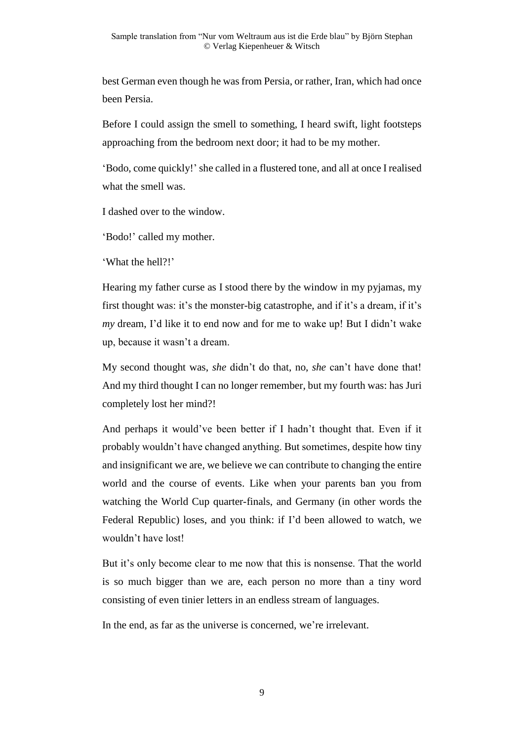best German even though he was from Persia, or rather, Iran, which had once been Persia.

Before I could assign the smell to something, I heard swift, light footsteps approaching from the bedroom next door; it had to be my mother.

'Bodo, come quickly!' she called in a flustered tone, and all at once I realised what the smell was.

I dashed over to the window.

'Bodo!' called my mother.

'What the hell?!'

Hearing my father curse as I stood there by the window in my pyjamas, my first thought was: it's the monster-big catastrophe, and if it's a dream, if it's *my* dream, I'd like it to end now and for me to wake up! But I didn't wake up, because it wasn't a dream.

My second thought was, *she* didn't do that, no, *she* can't have done that! And my third thought I can no longer remember, but my fourth was: has Juri completely lost her mind?!

And perhaps it would've been better if I hadn't thought that. Even if it probably wouldn't have changed anything. But sometimes, despite how tiny and insignificant we are, we believe we can contribute to changing the entire world and the course of events. Like when your parents ban you from watching the World Cup quarter-finals, and Germany (in other words the Federal Republic) loses, and you think: if I'd been allowed to watch, we wouldn't have lost!

But it's only become clear to me now that this is nonsense. That the world is so much bigger than we are, each person no more than a tiny word consisting of even tinier letters in an endless stream of languages.

In the end, as far as the universe is concerned, we're irrelevant.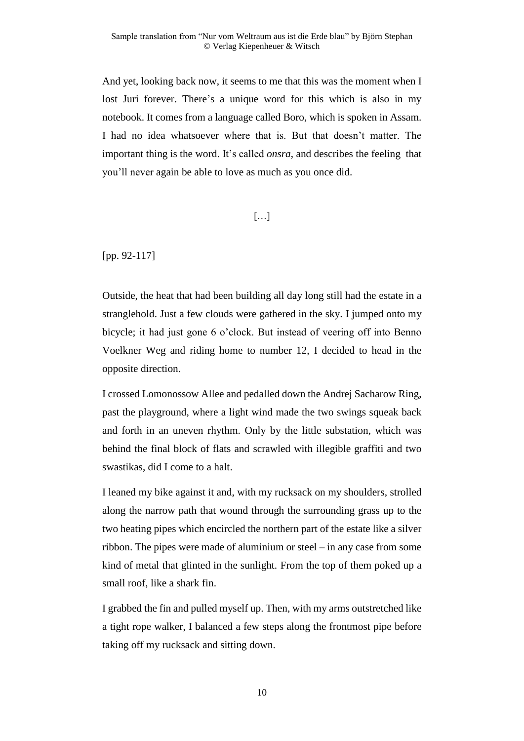And yet, looking back now, it seems to me that this was the moment when I lost Juri forever. There's a unique word for this which is also in my notebook. It comes from a language called Boro, which is spoken in Assam. I had no idea whatsoever where that is. But that doesn't matter. The important thing is the word. It's called *onsra*, and describes the feeling that you'll never again be able to love as much as you once did.

#### […]

[pp. 92-117]

Outside, the heat that had been building all day long still had the estate in a stranglehold. Just a few clouds were gathered in the sky. I jumped onto my bicycle; it had just gone 6 o'clock. But instead of veering off into Benno Voelkner Weg and riding home to number 12, I decided to head in the opposite direction.

I crossed Lomonossow Allee and pedalled down the Andrej Sacharow Ring, past the playground, where a light wind made the two swings squeak back and forth in an uneven rhythm. Only by the little substation, which was behind the final block of flats and scrawled with illegible graffiti and two swastikas, did I come to a halt.

I leaned my bike against it and, with my rucksack on my shoulders, strolled along the narrow path that wound through the surrounding grass up to the two heating pipes which encircled the northern part of the estate like a silver ribbon. The pipes were made of aluminium or steel – in any case from some kind of metal that glinted in the sunlight. From the top of them poked up a small roof, like a shark fin.

I grabbed the fin and pulled myself up. Then, with my arms outstretched like a tight rope walker, I balanced a few steps along the frontmost pipe before taking off my rucksack and sitting down.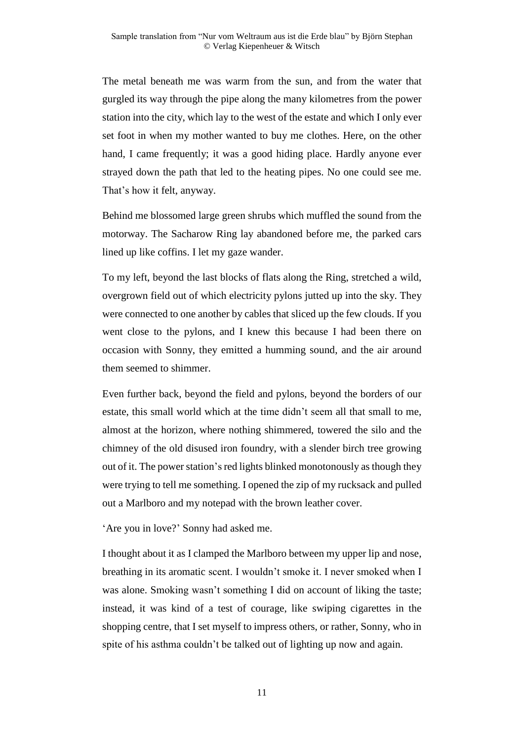The metal beneath me was warm from the sun, and from the water that gurgled its way through the pipe along the many kilometres from the power station into the city, which lay to the west of the estate and which I only ever set foot in when my mother wanted to buy me clothes. Here, on the other hand, I came frequently; it was a good hiding place. Hardly anyone ever strayed down the path that led to the heating pipes. No one could see me. That's how it felt, anyway.

Behind me blossomed large green shrubs which muffled the sound from the motorway. The Sacharow Ring lay abandoned before me, the parked cars lined up like coffins. I let my gaze wander.

To my left, beyond the last blocks of flats along the Ring, stretched a wild, overgrown field out of which electricity pylons jutted up into the sky. They were connected to one another by cables that sliced up the few clouds. If you went close to the pylons, and I knew this because I had been there on occasion with Sonny, they emitted a humming sound, and the air around them seemed to shimmer.

Even further back, beyond the field and pylons, beyond the borders of our estate, this small world which at the time didn't seem all that small to me, almost at the horizon, where nothing shimmered, towered the silo and the chimney of the old disused iron foundry, with a slender birch tree growing out of it. The power station's red lights blinked monotonously as though they were trying to tell me something. I opened the zip of my rucksack and pulled out a Marlboro and my notepad with the brown leather cover.

'Are you in love?' Sonny had asked me.

I thought about it as I clamped the Marlboro between my upper lip and nose, breathing in its aromatic scent. I wouldn't smoke it. I never smoked when I was alone. Smoking wasn't something I did on account of liking the taste; instead, it was kind of a test of courage, like swiping cigarettes in the shopping centre, that I set myself to impress others, or rather, Sonny, who in spite of his asthma couldn't be talked out of lighting up now and again.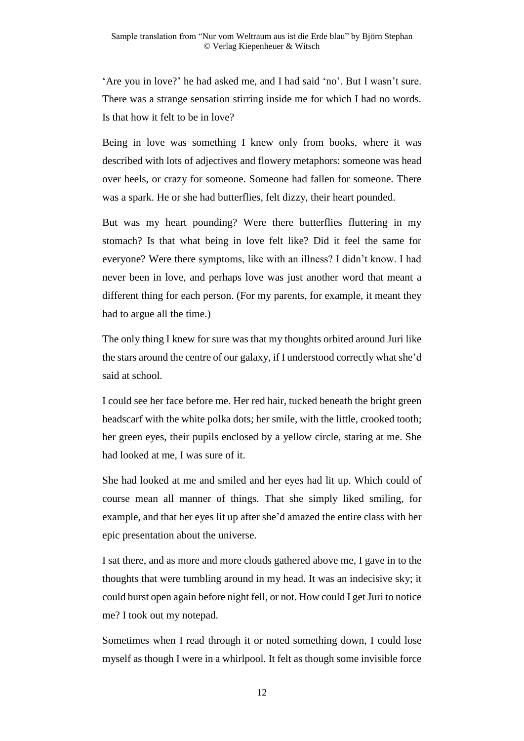'Are you in love?' he had asked me, and I had said 'no'. But I wasn't sure. There was a strange sensation stirring inside me for which I had no words. Is that how it felt to be in love?

Being in love was something I knew only from books, where it was described with lots of adjectives and flowery metaphors: someone was head over heels, or crazy for someone. Someone had fallen for someone. There was a spark. He or she had butterflies, felt dizzy, their heart pounded.

But was my heart pounding? Were there butterflies fluttering in my stomach? Is that what being in love felt like? Did it feel the same for everyone? Were there symptoms, like with an illness? I didn't know. I had never been in love, and perhaps love was just another word that meant a different thing for each person. (For my parents, for example, it meant they had to argue all the time.)

The only thing I knew for sure was that my thoughts orbited around Juri like the stars around the centre of our galaxy, if I understood correctly what she'd said at school.

I could see her face before me. Her red hair, tucked beneath the bright green headscarf with the white polka dots; her smile, with the little, crooked tooth; her green eyes, their pupils enclosed by a yellow circle, staring at me. She had looked at me, I was sure of it.

She had looked at me and smiled and her eyes had lit up. Which could of course mean all manner of things. That she simply liked smiling, for example, and that her eyes lit up after she'd amazed the entire class with her epic presentation about the universe.

I sat there, and as more and more clouds gathered above me, I gave in to the thoughts that were tumbling around in my head. It was an indecisive sky; it could burst open again before night fell, or not. How could I get Juri to notice me? I took out my notepad.

Sometimes when I read through it or noted something down, I could lose myself as though I were in a whirlpool. It felt as though some invisible force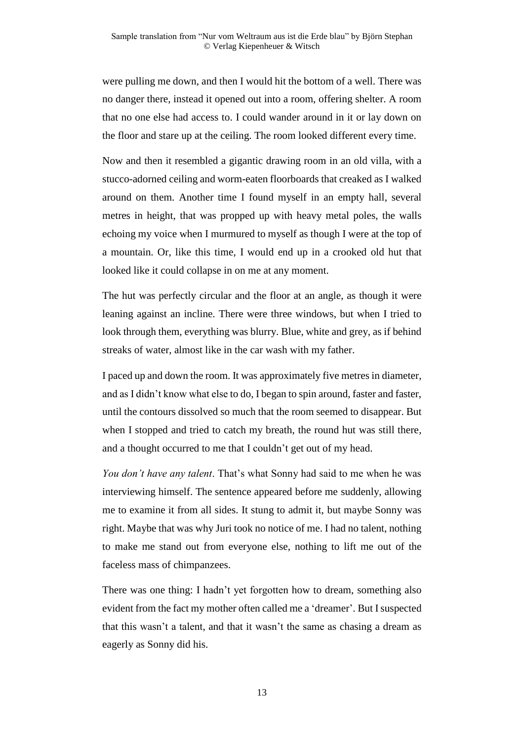were pulling me down, and then I would hit the bottom of a well. There was no danger there, instead it opened out into a room, offering shelter. A room that no one else had access to. I could wander around in it or lay down on the floor and stare up at the ceiling. The room looked different every time.

Now and then it resembled a gigantic drawing room in an old villa, with a stucco-adorned ceiling and worm-eaten floorboards that creaked as I walked around on them. Another time I found myself in an empty hall, several metres in height, that was propped up with heavy metal poles, the walls echoing my voice when I murmured to myself as though I were at the top of a mountain. Or, like this time, I would end up in a crooked old hut that looked like it could collapse in on me at any moment.

The hut was perfectly circular and the floor at an angle, as though it were leaning against an incline. There were three windows, but when I tried to look through them, everything was blurry. Blue, white and grey, as if behind streaks of water, almost like in the car wash with my father.

I paced up and down the room. It was approximately five metres in diameter, and as I didn't know what else to do, I began to spin around, faster and faster, until the contours dissolved so much that the room seemed to disappear. But when I stopped and tried to catch my breath, the round hut was still there, and a thought occurred to me that I couldn't get out of my head.

*You don't have any talent*. That's what Sonny had said to me when he was interviewing himself. The sentence appeared before me suddenly, allowing me to examine it from all sides. It stung to admit it, but maybe Sonny was right. Maybe that was why Juri took no notice of me. I had no talent, nothing to make me stand out from everyone else, nothing to lift me out of the faceless mass of chimpanzees.

There was one thing: I hadn't yet forgotten how to dream, something also evident from the fact my mother often called me a 'dreamer'. But I suspected that this wasn't a talent, and that it wasn't the same as chasing a dream as eagerly as Sonny did his.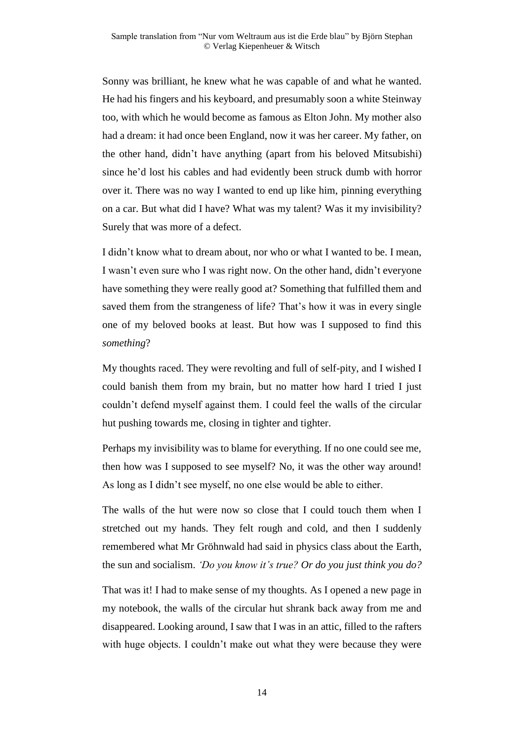Sonny was brilliant, he knew what he was capable of and what he wanted. He had his fingers and his keyboard, and presumably soon a white Steinway too, with which he would become as famous as Elton John. My mother also had a dream: it had once been England, now it was her career. My father, on the other hand, didn't have anything (apart from his beloved Mitsubishi) since he'd lost his cables and had evidently been struck dumb with horror over it. There was no way I wanted to end up like him, pinning everything on a car. But what did I have? What was my talent? Was it my invisibility? Surely that was more of a defect.

I didn't know what to dream about, nor who or what I wanted to be. I mean, I wasn't even sure who I was right now. On the other hand, didn't everyone have something they were really good at? Something that fulfilled them and saved them from the strangeness of life? That's how it was in every single one of my beloved books at least. But how was I supposed to find this *something*?

My thoughts raced. They were revolting and full of self-pity, and I wished I could banish them from my brain, but no matter how hard I tried I just couldn't defend myself against them. I could feel the walls of the circular hut pushing towards me, closing in tighter and tighter.

Perhaps my invisibility was to blame for everything. If no one could see me, then how was I supposed to see myself? No, it was the other way around! As long as I didn't see myself, no one else would be able to either.

The walls of the hut were now so close that I could touch them when I stretched out my hands. They felt rough and cold, and then I suddenly remembered what Mr Gröhnwald had said in physics class about the Earth, the sun and socialism. *'Do you know it's true? Or do you just think you do?*

That was it! I had to make sense of my thoughts. As I opened a new page in my notebook, the walls of the circular hut shrank back away from me and disappeared. Looking around, I saw that I was in an attic, filled to the rafters with huge objects. I couldn't make out what they were because they were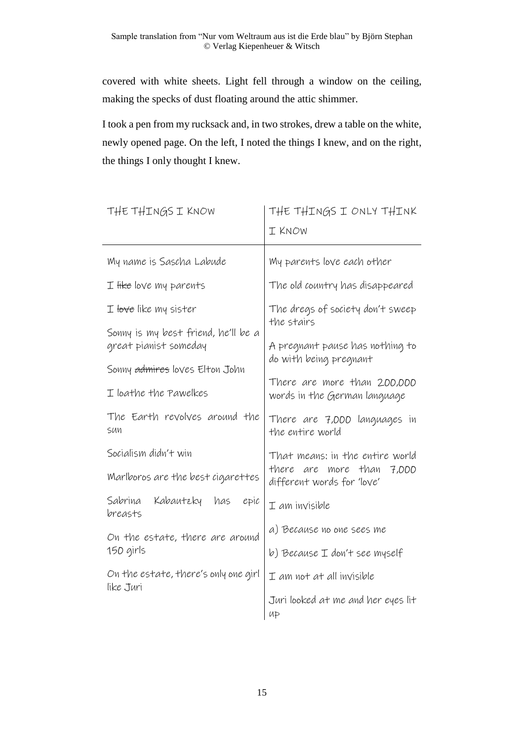covered with white sheets. Light fell through a window on the ceiling, making the specks of dust floating around the attic shimmer.

I took a pen from my rucksack and, in two strokes, drew a table on the white, newly opened page. On the left, I noted the things I knew, and on the right, the things I only thought I knew.

| THE THINGS I KNOW                                 | THE THINGS I ONLY THINK<br>I KNOW                           |
|---------------------------------------------------|-------------------------------------------------------------|
| My name is Sascha Labude                          | My parents love each other                                  |
| $I$ like love my parents                          | The old country has disappeared                             |
| I <del>love</del> like my sister                  | The dregs of society don't sweep<br>the stairs              |
| Sonny is my best friend, he'll be a               |                                                             |
| great pianist someday                             | A pregnant pause has nothing to<br>do with being pregnant   |
| Sonny admires loves Elton John                    |                                                             |
| I loathe the Pawelkes                             | There are more than 200,000<br>words in the German language |
| The Earth revolves around the<br>SUN              | There are 7,000 languages in<br>the entire world            |
| Socialism didn't win                              | That means: in the entire world                             |
| Marlboros are the best cigarettes                 | there are more than<br>7,000<br>different words for 'love'  |
| Sabrina<br>Kabautzky has<br>epic<br>breasts       | $I$ am invisible                                            |
| On the estate, there are around<br>150 girls      | a) Because no one sees me                                   |
|                                                   | b) Because I don't see myself                               |
| On the estate, there's only one girl<br>like Juri | I am not at all invisible                                   |
|                                                   | Juri looked at me and her eyes lit<br>UP                    |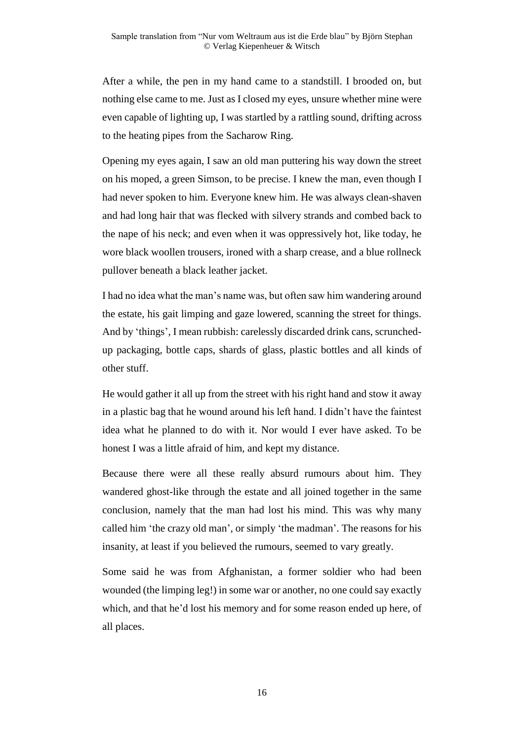After a while, the pen in my hand came to a standstill. I brooded on, but nothing else came to me. Just as I closed my eyes, unsure whether mine were even capable of lighting up, I was startled by a rattling sound, drifting across to the heating pipes from the Sacharow Ring.

Opening my eyes again, I saw an old man puttering his way down the street on his moped, a green Simson, to be precise. I knew the man, even though I had never spoken to him. Everyone knew him. He was always clean-shaven and had long hair that was flecked with silvery strands and combed back to the nape of his neck; and even when it was oppressively hot, like today, he wore black woollen trousers, ironed with a sharp crease, and a blue rollneck pullover beneath a black leather jacket.

I had no idea what the man's name was, but often saw him wandering around the estate, his gait limping and gaze lowered, scanning the street for things. And by 'things', I mean rubbish: carelessly discarded drink cans, scrunchedup packaging, bottle caps, shards of glass, plastic bottles and all kinds of other stuff.

He would gather it all up from the street with his right hand and stow it away in a plastic bag that he wound around his left hand. I didn't have the faintest idea what he planned to do with it. Nor would I ever have asked. To be honest I was a little afraid of him, and kept my distance.

Because there were all these really absurd rumours about him. They wandered ghost-like through the estate and all joined together in the same conclusion, namely that the man had lost his mind. This was why many called him 'the crazy old man', or simply 'the madman'. The reasons for his insanity, at least if you believed the rumours, seemed to vary greatly.

Some said he was from Afghanistan, a former soldier who had been wounded (the limping leg!) in some war or another, no one could say exactly which, and that he'd lost his memory and for some reason ended up here, of all places.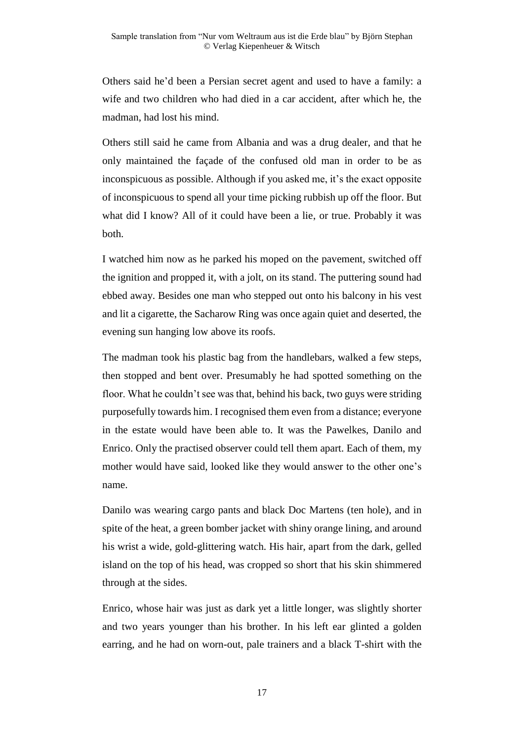Others said he'd been a Persian secret agent and used to have a family: a wife and two children who had died in a car accident, after which he, the madman, had lost his mind.

Others still said he came from Albania and was a drug dealer, and that he only maintained the façade of the confused old man in order to be as inconspicuous as possible. Although if you asked me, it's the exact opposite of inconspicuous to spend all your time picking rubbish up off the floor. But what did I know? All of it could have been a lie, or true. Probably it was both.

I watched him now as he parked his moped on the pavement, switched off the ignition and propped it, with a jolt, on its stand. The puttering sound had ebbed away. Besides one man who stepped out onto his balcony in his vest and lit a cigarette, the Sacharow Ring was once again quiet and deserted, the evening sun hanging low above its roofs.

The madman took his plastic bag from the handlebars, walked a few steps, then stopped and bent over. Presumably he had spotted something on the floor. What he couldn't see was that, behind his back, two guys were striding purposefully towards him. I recognised them even from a distance; everyone in the estate would have been able to. It was the Pawelkes, Danilo and Enrico. Only the practised observer could tell them apart. Each of them, my mother would have said, looked like they would answer to the other one's name.

Danilo was wearing cargo pants and black Doc Martens (ten hole), and in spite of the heat, a green bomber jacket with shiny orange lining, and around his wrist a wide, gold-glittering watch. His hair, apart from the dark, gelled island on the top of his head, was cropped so short that his skin shimmered through at the sides.

Enrico, whose hair was just as dark yet a little longer, was slightly shorter and two years younger than his brother. In his left ear glinted a golden earring, and he had on worn-out, pale trainers and a black T-shirt with the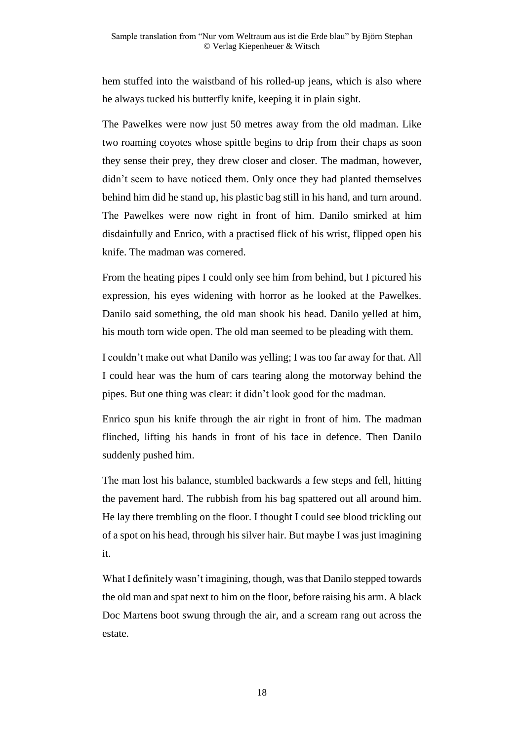hem stuffed into the waistband of his rolled-up jeans, which is also where he always tucked his butterfly knife, keeping it in plain sight.

The Pawelkes were now just 50 metres away from the old madman. Like two roaming coyotes whose spittle begins to drip from their chaps as soon they sense their prey, they drew closer and closer. The madman, however, didn't seem to have noticed them. Only once they had planted themselves behind him did he stand up, his plastic bag still in his hand, and turn around. The Pawelkes were now right in front of him. Danilo smirked at him disdainfully and Enrico, with a practised flick of his wrist, flipped open his knife. The madman was cornered.

From the heating pipes I could only see him from behind, but I pictured his expression, his eyes widening with horror as he looked at the Pawelkes. Danilo said something, the old man shook his head. Danilo yelled at him, his mouth torn wide open. The old man seemed to be pleading with them.

I couldn't make out what Danilo was yelling; I was too far away for that. All I could hear was the hum of cars tearing along the motorway behind the pipes. But one thing was clear: it didn't look good for the madman.

Enrico spun his knife through the air right in front of him. The madman flinched, lifting his hands in front of his face in defence. Then Danilo suddenly pushed him.

The man lost his balance, stumbled backwards a few steps and fell, hitting the pavement hard. The rubbish from his bag spattered out all around him. He lay there trembling on the floor. I thought I could see blood trickling out of a spot on his head, through his silver hair. But maybe I was just imagining it.

What I definitely wasn't imagining, though, was that Danilo stepped towards the old man and spat next to him on the floor, before raising his arm. A black Doc Martens boot swung through the air, and a scream rang out across the estate.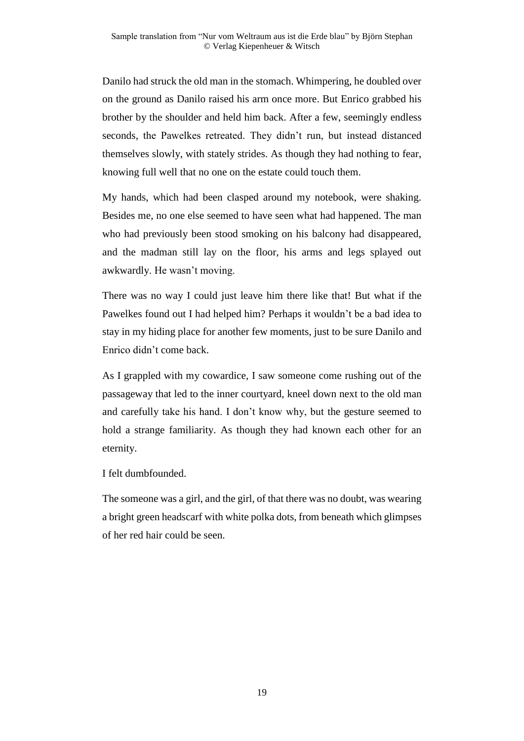Danilo had struck the old man in the stomach. Whimpering, he doubled over on the ground as Danilo raised his arm once more. But Enrico grabbed his brother by the shoulder and held him back. After a few, seemingly endless seconds, the Pawelkes retreated. They didn't run, but instead distanced themselves slowly, with stately strides. As though they had nothing to fear, knowing full well that no one on the estate could touch them.

My hands, which had been clasped around my notebook, were shaking. Besides me, no one else seemed to have seen what had happened. The man who had previously been stood smoking on his balcony had disappeared, and the madman still lay on the floor, his arms and legs splayed out awkwardly. He wasn't moving.

There was no way I could just leave him there like that! But what if the Pawelkes found out I had helped him? Perhaps it wouldn't be a bad idea to stay in my hiding place for another few moments, just to be sure Danilo and Enrico didn't come back.

As I grappled with my cowardice, I saw someone come rushing out of the passageway that led to the inner courtyard, kneel down next to the old man and carefully take his hand. I don't know why, but the gesture seemed to hold a strange familiarity. As though they had known each other for an eternity.

I felt dumbfounded.

The someone was a girl, and the girl, of that there was no doubt, was wearing a bright green headscarf with white polka dots, from beneath which glimpses of her red hair could be seen.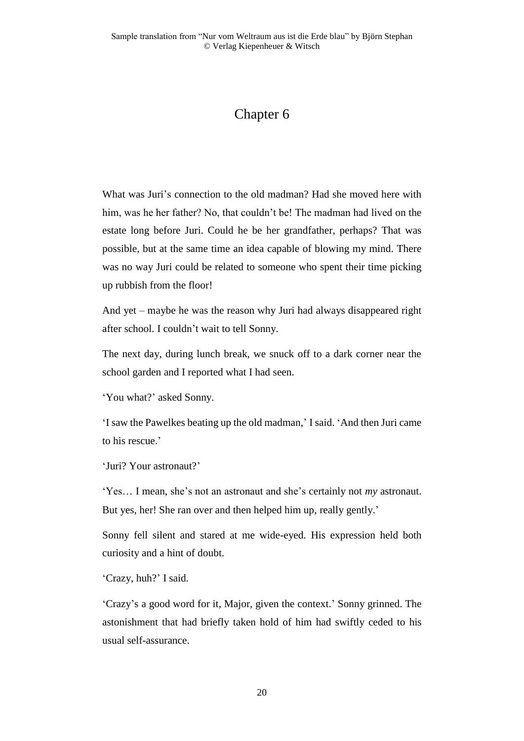## Chapter 6

What was Juri's connection to the old madman? Had she moved here with him, was he her father? No, that couldn't be! The madman had lived on the estate long before Juri. Could he be her grandfather, perhaps? That was possible, but at the same time an idea capable of blowing my mind. There was no way Juri could be related to someone who spent their time picking up rubbish from the floor!

And yet – maybe he was the reason why Juri had always disappeared right after school. I couldn't wait to tell Sonny.

The next day, during lunch break, we snuck off to a dark corner near the school garden and I reported what I had seen.

'You what?' asked Sonny.

'I saw the Pawelkes beating up the old madman,' I said. 'And then Juri came to his rescue.'

'Juri? Your astronaut?'

'Yes… I mean, she's not an astronaut and she's certainly not *my* astronaut. But yes, her! She ran over and then helped him up, really gently.'

Sonny fell silent and stared at me wide-eyed. His expression held both curiosity and a hint of doubt.

'Crazy, huh?' I said.

'Crazy's a good word for it, Major, given the context.' Sonny grinned. The astonishment that had briefly taken hold of him had swiftly ceded to his usual self-assurance.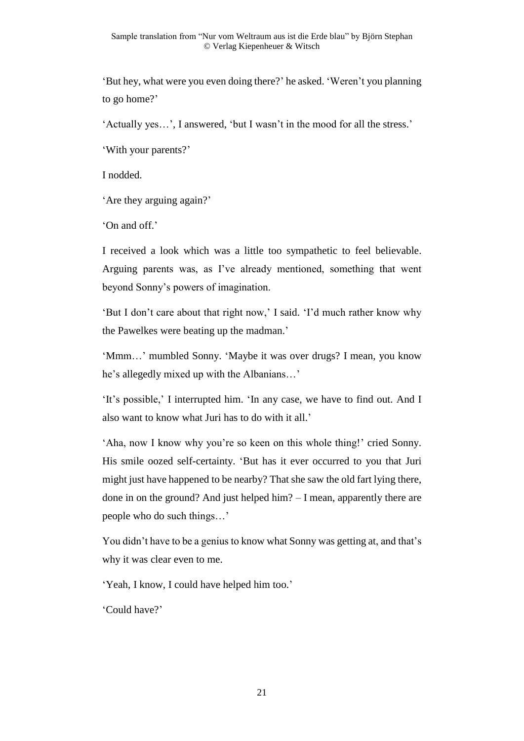'But hey, what were you even doing there?' he asked. 'Weren't you planning to go home?'

'Actually yes…', I answered, 'but I wasn't in the mood for all the stress.'

'With your parents?'

I nodded.

'Are they arguing again?'

'On and off.'

I received a look which was a little too sympathetic to feel believable. Arguing parents was, as I've already mentioned, something that went beyond Sonny's powers of imagination.

'But I don't care about that right now,' I said. 'I'd much rather know why the Pawelkes were beating up the madman.'

'Mmm…' mumbled Sonny. 'Maybe it was over drugs? I mean, you know he's allegedly mixed up with the Albanians…'

'It's possible,' I interrupted him. 'In any case, we have to find out. And I also want to know what Juri has to do with it all.'

'Aha, now I know why you're so keen on this whole thing!' cried Sonny. His smile oozed self-certainty. 'But has it ever occurred to you that Juri might just have happened to be nearby? That she saw the old fart lying there, done in on the ground? And just helped him? – I mean, apparently there are people who do such things…'

You didn't have to be a genius to know what Sonny was getting at, and that's why it was clear even to me.

'Yeah, I know, I could have helped him too.'

'Could have?'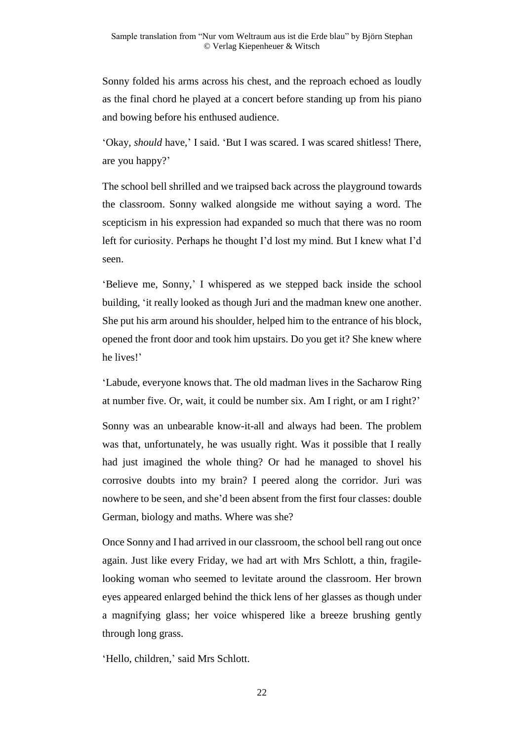Sonny folded his arms across his chest, and the reproach echoed as loudly as the final chord he played at a concert before standing up from his piano and bowing before his enthused audience.

'Okay, *should* have,' I said. 'But I was scared. I was scared shitless! There, are you happy?'

The school bell shrilled and we traipsed back across the playground towards the classroom. Sonny walked alongside me without saying a word. The scepticism in his expression had expanded so much that there was no room left for curiosity. Perhaps he thought I'd lost my mind. But I knew what I'd seen.

'Believe me, Sonny,' I whispered as we stepped back inside the school building, 'it really looked as though Juri and the madman knew one another. She put his arm around his shoulder, helped him to the entrance of his block, opened the front door and took him upstairs. Do you get it? She knew where he lives!'

'Labude, everyone knows that. The old madman lives in the Sacharow Ring at number five. Or, wait, it could be number six. Am I right, or am I right?'

Sonny was an unbearable know-it-all and always had been. The problem was that, unfortunately, he was usually right. Was it possible that I really had just imagined the whole thing? Or had he managed to shovel his corrosive doubts into my brain? I peered along the corridor. Juri was nowhere to be seen, and she'd been absent from the first four classes: double German, biology and maths. Where was she?

Once Sonny and I had arrived in our classroom, the school bell rang out once again. Just like every Friday, we had art with Mrs Schlott, a thin, fragilelooking woman who seemed to levitate around the classroom. Her brown eyes appeared enlarged behind the thick lens of her glasses as though under a magnifying glass; her voice whispered like a breeze brushing gently through long grass.

'Hello, children,' said Mrs Schlott.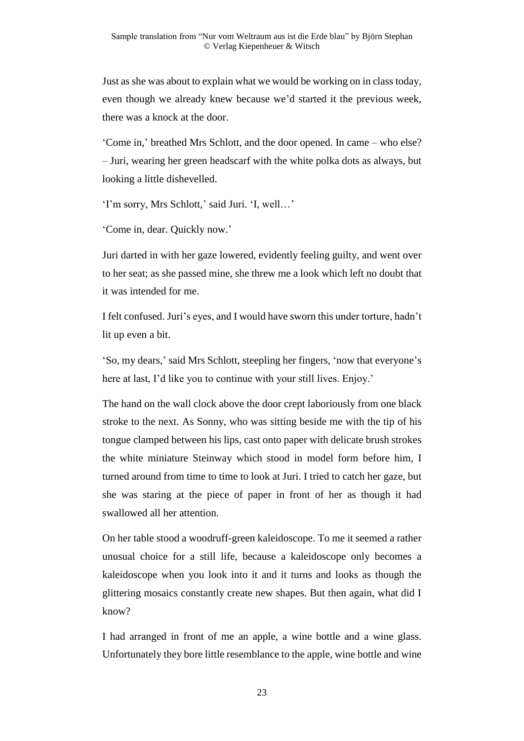Just as she was about to explain what we would be working on in class today, even though we already knew because we'd started it the previous week, there was a knock at the door.

'Come in,' breathed Mrs Schlott, and the door opened. In came – who else? – Juri, wearing her green headscarf with the white polka dots as always, but looking a little dishevelled.

'I'm sorry, Mrs Schlott,' said Juri. 'I, well…'

'Come in, dear. Quickly now.'

Juri darted in with her gaze lowered, evidently feeling guilty, and went over to her seat; as she passed mine, she threw me a look which left no doubt that it was intended for me.

I felt confused. Juri's eyes, and I would have sworn this under torture, hadn't lit up even a bit.

'So, my dears,' said Mrs Schlott, steepling her fingers, 'now that everyone's here at last, I'd like you to continue with your still lives. Enjoy.'

The hand on the wall clock above the door crept laboriously from one black stroke to the next. As Sonny, who was sitting beside me with the tip of his tongue clamped between his lips, cast onto paper with delicate brush strokes the white miniature Steinway which stood in model form before him, I turned around from time to time to look at Juri. I tried to catch her gaze, but she was staring at the piece of paper in front of her as though it had swallowed all her attention.

On her table stood a woodruff-green kaleidoscope. To me it seemed a rather unusual choice for a still life, because a kaleidoscope only becomes a kaleidoscope when you look into it and it turns and looks as though the glittering mosaics constantly create new shapes. But then again, what did I know?

I had arranged in front of me an apple, a wine bottle and a wine glass. Unfortunately they bore little resemblance to the apple, wine bottle and wine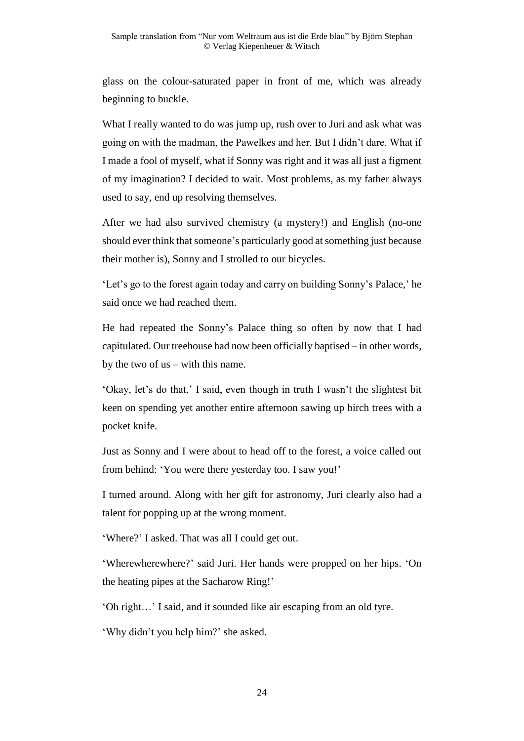glass on the colour-saturated paper in front of me, which was already beginning to buckle.

What I really wanted to do was jump up, rush over to Juri and ask what was going on with the madman, the Pawelkes and her. But I didn't dare. What if I made a fool of myself, what if Sonny was right and it was all just a figment of my imagination? I decided to wait. Most problems, as my father always used to say, end up resolving themselves.

After we had also survived chemistry (a mystery!) and English (no-one should ever think that someone's particularly good at something just because their mother is), Sonny and I strolled to our bicycles.

'Let's go to the forest again today and carry on building Sonny's Palace,' he said once we had reached them.

He had repeated the Sonny's Palace thing so often by now that I had capitulated. Our treehouse had now been officially baptised – in other words, by the two of us – with this name.

'Okay, let's do that,' I said, even though in truth I wasn't the slightest bit keen on spending yet another entire afternoon sawing up birch trees with a pocket knife.

Just as Sonny and I were about to head off to the forest, a voice called out from behind: 'You were there yesterday too. I saw you!'

I turned around. Along with her gift for astronomy, Juri clearly also had a talent for popping up at the wrong moment.

'Where?' I asked. That was all I could get out.

'Wherewherewhere?' said Juri. Her hands were propped on her hips. 'On the heating pipes at the Sacharow Ring!'

'Oh right…' I said, and it sounded like air escaping from an old tyre.

'Why didn't you help him?' she asked.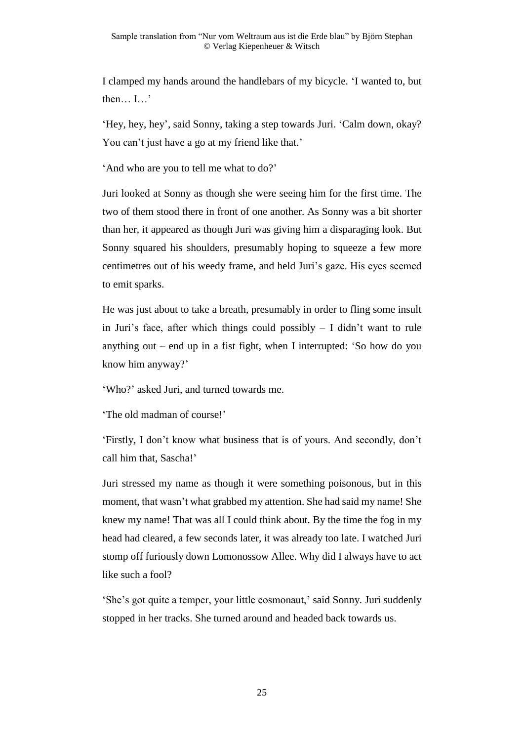I clamped my hands around the handlebars of my bicycle. 'I wanted to, but then… I…'

'Hey, hey, hey', said Sonny, taking a step towards Juri. 'Calm down, okay? You can't just have a go at my friend like that.'

'And who are you to tell me what to do?'

Juri looked at Sonny as though she were seeing him for the first time. The two of them stood there in front of one another. As Sonny was a bit shorter than her, it appeared as though Juri was giving him a disparaging look. But Sonny squared his shoulders, presumably hoping to squeeze a few more centimetres out of his weedy frame, and held Juri's gaze. His eyes seemed to emit sparks.

He was just about to take a breath, presumably in order to fling some insult in Juri's face, after which things could possibly  $-$  I didn't want to rule anything out – end up in a fist fight, when I interrupted: 'So how do you know him anyway?'

'Who?' asked Juri, and turned towards me.

'The old madman of course!'

'Firstly, I don't know what business that is of yours. And secondly, don't call him that, Sascha!'

Juri stressed my name as though it were something poisonous, but in this moment, that wasn't what grabbed my attention. She had said my name! She knew my name! That was all I could think about. By the time the fog in my head had cleared, a few seconds later, it was already too late. I watched Juri stomp off furiously down Lomonossow Allee. Why did I always have to act like such a fool?

'She's got quite a temper, your little cosmonaut,' said Sonny. Juri suddenly stopped in her tracks. She turned around and headed back towards us.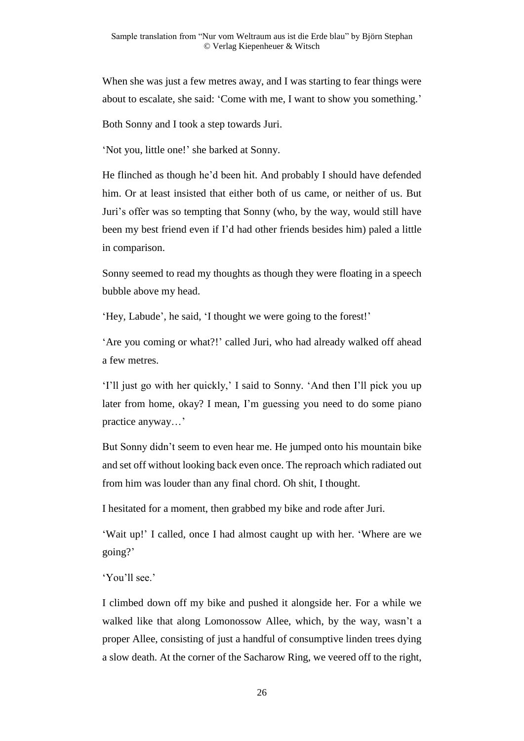When she was just a few metres away, and I was starting to fear things were about to escalate, she said: 'Come with me, I want to show you something.'

Both Sonny and I took a step towards Juri.

'Not you, little one!' she barked at Sonny.

He flinched as though he'd been hit. And probably I should have defended him. Or at least insisted that either both of us came, or neither of us. But Juri's offer was so tempting that Sonny (who, by the way, would still have been my best friend even if I'd had other friends besides him) paled a little in comparison.

Sonny seemed to read my thoughts as though they were floating in a speech bubble above my head.

'Hey, Labude', he said, 'I thought we were going to the forest!'

'Are you coming or what?!' called Juri, who had already walked off ahead a few metres.

'I'll just go with her quickly,' I said to Sonny. 'And then I'll pick you up later from home, okay? I mean, I'm guessing you need to do some piano practice anyway…'

But Sonny didn't seem to even hear me. He jumped onto his mountain bike and set off without looking back even once. The reproach which radiated out from him was louder than any final chord. Oh shit, I thought.

I hesitated for a moment, then grabbed my bike and rode after Juri.

'Wait up!' I called, once I had almost caught up with her. 'Where are we going?'

'You'll see.'

I climbed down off my bike and pushed it alongside her. For a while we walked like that along Lomonossow Allee, which, by the way, wasn't a proper Allee, consisting of just a handful of consumptive linden trees dying a slow death. At the corner of the Sacharow Ring, we veered off to the right,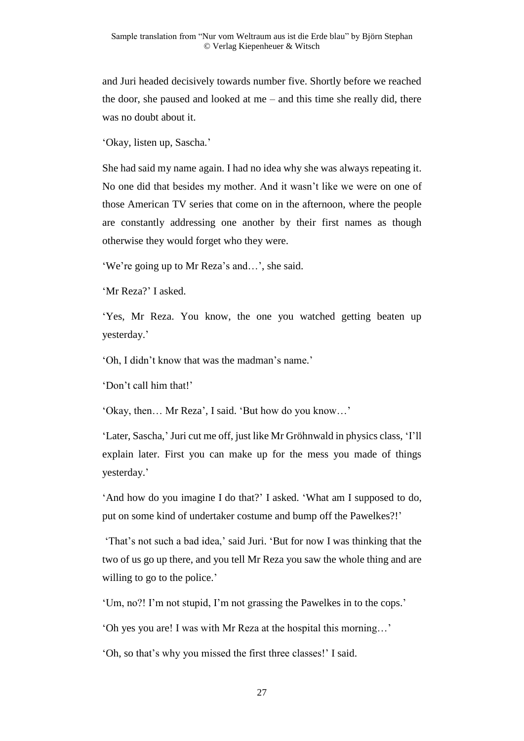and Juri headed decisively towards number five. Shortly before we reached the door, she paused and looked at me – and this time she really did, there was no doubt about it.

'Okay, listen up, Sascha.'

She had said my name again. I had no idea why she was always repeating it. No one did that besides my mother. And it wasn't like we were on one of those American TV series that come on in the afternoon, where the people are constantly addressing one another by their first names as though otherwise they would forget who they were.

'We're going up to Mr Reza's and…', she said.

'Mr Reza?' I asked.

'Yes, Mr Reza. You know, the one you watched getting beaten up yesterday.'

'Oh, I didn't know that was the madman's name.'

'Don't call him that!'

'Okay, then… Mr Reza', I said. 'But how do you know…'

'Later, Sascha,' Juri cut me off, just like Mr Gröhnwald in physics class, 'I'll explain later. First you can make up for the mess you made of things yesterday.'

'And how do you imagine I do that?' I asked. 'What am I supposed to do, put on some kind of undertaker costume and bump off the Pawelkes?!'

'That's not such a bad idea,' said Juri. 'But for now I was thinking that the two of us go up there, and you tell Mr Reza you saw the whole thing and are willing to go to the police.'

'Um, no?! I'm not stupid, I'm not grassing the Pawelkes in to the cops.'

'Oh yes you are! I was with Mr Reza at the hospital this morning…'

'Oh, so that's why you missed the first three classes!' I said.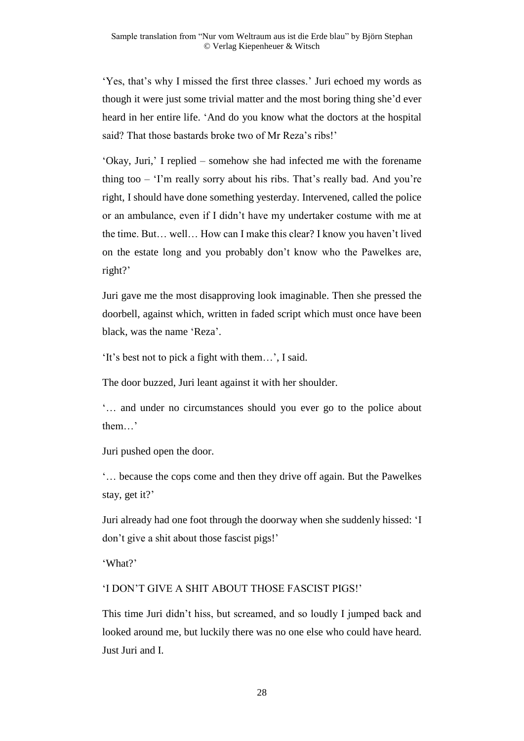'Yes, that's why I missed the first three classes.' Juri echoed my words as though it were just some trivial matter and the most boring thing she'd ever heard in her entire life. 'And do you know what the doctors at the hospital said? That those bastards broke two of Mr Reza's ribs!'

'Okay, Juri,' I replied – somehow she had infected me with the forename thing too – 'I'm really sorry about his ribs. That's really bad. And you're right, I should have done something yesterday. Intervened, called the police or an ambulance, even if I didn't have my undertaker costume with me at the time. But… well… How can I make this clear? I know you haven't lived on the estate long and you probably don't know who the Pawelkes are, right?'

Juri gave me the most disapproving look imaginable. Then she pressed the doorbell, against which, written in faded script which must once have been black, was the name 'Reza'.

'It's best not to pick a fight with them…', I said.

The door buzzed, Juri leant against it with her shoulder.

'… and under no circumstances should you ever go to the police about them…'

Juri pushed open the door.

'… because the cops come and then they drive off again. But the Pawelkes stay, get it?'

Juri already had one foot through the doorway when she suddenly hissed: 'I don't give a shit about those fascist pigs!'

'What?'

#### 'I DON'T GIVE A SHIT ABOUT THOSE FASCIST PIGS!'

This time Juri didn't hiss, but screamed, and so loudly I jumped back and looked around me, but luckily there was no one else who could have heard. Just Juri and I.